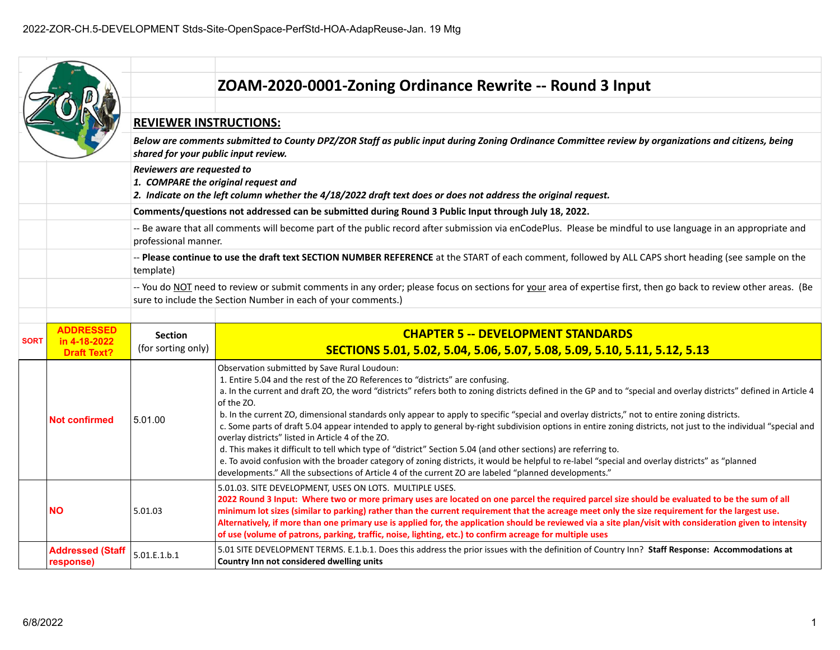|             |                                    |                                                                                                                                                                                     | ZOAM-2020-0001-Zoning Ordinance Rewrite -- Round 3 Input                                                                                                                                                                                                                                                                                                                                                                                                                                                                                                                                                                                                                                                                                                                                                                                                                                                                                                                                                                                                                     |
|-------------|------------------------------------|-------------------------------------------------------------------------------------------------------------------------------------------------------------------------------------|------------------------------------------------------------------------------------------------------------------------------------------------------------------------------------------------------------------------------------------------------------------------------------------------------------------------------------------------------------------------------------------------------------------------------------------------------------------------------------------------------------------------------------------------------------------------------------------------------------------------------------------------------------------------------------------------------------------------------------------------------------------------------------------------------------------------------------------------------------------------------------------------------------------------------------------------------------------------------------------------------------------------------------------------------------------------------|
|             |                                    |                                                                                                                                                                                     |                                                                                                                                                                                                                                                                                                                                                                                                                                                                                                                                                                                                                                                                                                                                                                                                                                                                                                                                                                                                                                                                              |
|             |                                    | <b>REVIEWER INSTRUCTIONS:</b>                                                                                                                                                       |                                                                                                                                                                                                                                                                                                                                                                                                                                                                                                                                                                                                                                                                                                                                                                                                                                                                                                                                                                                                                                                                              |
|             |                                    | shared for your public input review.                                                                                                                                                | Below are comments submitted to County DPZ/ZOR Staff as public input during Zoning Ordinance Committee review by organizations and citizens, being                                                                                                                                                                                                                                                                                                                                                                                                                                                                                                                                                                                                                                                                                                                                                                                                                                                                                                                           |
|             |                                    | Reviewers are requested to<br>1. COMPARE the original request and<br>2. Indicate on the left column whether the 4/18/2022 draft text does or does not address the original request. |                                                                                                                                                                                                                                                                                                                                                                                                                                                                                                                                                                                                                                                                                                                                                                                                                                                                                                                                                                                                                                                                              |
|             |                                    |                                                                                                                                                                                     | Comments/questions not addressed can be submitted during Round 3 Public Input through July 18, 2022.                                                                                                                                                                                                                                                                                                                                                                                                                                                                                                                                                                                                                                                                                                                                                                                                                                                                                                                                                                         |
|             |                                    | professional manner.                                                                                                                                                                | -- Be aware that all comments will become part of the public record after submission via enCodePlus. Please be mindful to use language in an appropriate and                                                                                                                                                                                                                                                                                                                                                                                                                                                                                                                                                                                                                                                                                                                                                                                                                                                                                                                 |
|             |                                    | template)                                                                                                                                                                           | -- Please continue to use the draft text SECTION NUMBER REFERENCE at the START of each comment, followed by ALL CAPS short heading (see sample on the                                                                                                                                                                                                                                                                                                                                                                                                                                                                                                                                                                                                                                                                                                                                                                                                                                                                                                                        |
|             |                                    |                                                                                                                                                                                     | -- You do NOT need to review or submit comments in any order; please focus on sections for your area of expertise first, then go back to review other areas. (Be<br>sure to include the Section Number in each of your comments.)                                                                                                                                                                                                                                                                                                                                                                                                                                                                                                                                                                                                                                                                                                                                                                                                                                            |
|             |                                    |                                                                                                                                                                                     |                                                                                                                                                                                                                                                                                                                                                                                                                                                                                                                                                                                                                                                                                                                                                                                                                                                                                                                                                                                                                                                                              |
|             |                                    |                                                                                                                                                                                     |                                                                                                                                                                                                                                                                                                                                                                                                                                                                                                                                                                                                                                                                                                                                                                                                                                                                                                                                                                                                                                                                              |
|             | <b>ADDRESSED</b>                   | <b>Section</b>                                                                                                                                                                      | <b>CHAPTER 5 -- DEVELOPMENT STANDARDS</b>                                                                                                                                                                                                                                                                                                                                                                                                                                                                                                                                                                                                                                                                                                                                                                                                                                                                                                                                                                                                                                    |
| <b>SORT</b> | in 4-18-2022<br><b>Draft Text?</b> | (for sorting only)                                                                                                                                                                  | SECTIONS 5.01, 5.02, 5.04, 5.06, 5.07, 5.08, 5.09, 5.10, 5.11, 5.12, 5.13                                                                                                                                                                                                                                                                                                                                                                                                                                                                                                                                                                                                                                                                                                                                                                                                                                                                                                                                                                                                    |
|             | <b>Not confirmed</b>               | 5.01.00                                                                                                                                                                             | Observation submitted by Save Rural Loudoun:<br>1. Entire 5.04 and the rest of the ZO References to "districts" are confusing.<br>a. In the current and draft ZO, the word "districts" refers both to zoning districts defined in the GP and to "special and overlay districts" defined in Article 4<br>of the ZO.<br>b. In the current ZO, dimensional standards only appear to apply to specific "special and overlay districts," not to entire zoning districts.<br>c. Some parts of draft 5.04 appear intended to apply to general by-right subdivision options in entire zoning districts, not just to the individual "special and<br>overlay districts" listed in Article 4 of the ZO.<br>d. This makes it difficult to tell which type of "district" Section 5.04 (and other sections) are referring to.<br>e. To avoid confusion with the broader category of zoning districts, it would be helpful to re-label "special and overlay districts" as "planned<br>developments." All the subsections of Article 4 of the current ZO are labeled "planned developments." |
|             | <b>NO</b>                          | 5.01.03                                                                                                                                                                             | 5.01.03. SITE DEVELOPMENT, USES ON LOTS. MULTIPLE USES.<br>2022 Round 3 Input: Where two or more primary uses are located on one parcel the required parcel size should be evaluated to be the sum of all<br>minimum lot sizes (similar to parking) rather than the current requirement that the acreage meet only the size requirement for the largest use.<br>Alternatively, if more than one primary use is applied for, the application should be reviewed via a site plan/visit with consideration given to intensity<br>of use (volume of patrons, parking, traffic, noise, lighting, etc.) to confirm acreage for multiple uses                                                                                                                                                                                                                                                                                                                                                                                                                                       |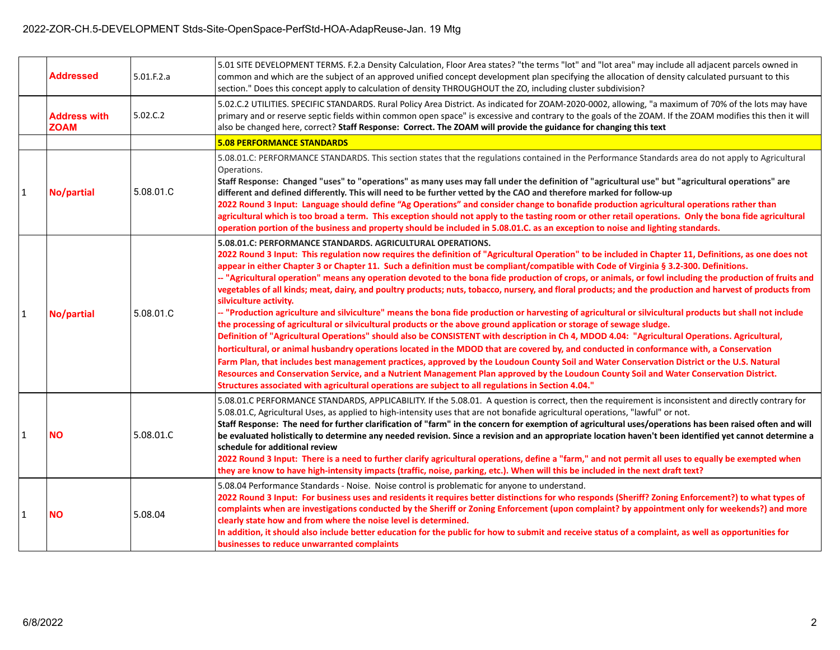|              | <b>Addressed</b>                   | 5.01.F.2.a | 5.01 SITE DEVELOPMENT TERMS. F.2.a Density Calculation, Floor Area states? "the terms "lot" and "lot area" may include all adjacent parcels owned in<br>common and which are the subject of an approved unified concept development plan specifying the allocation of density calculated pursuant to this<br>section." Does this concept apply to calculation of density THROUGHOUT the ZO, including cluster subdivision?                                                                                                                                                                                                                                                                                                                                                                                                                                                                                                                                                                                                                                                                                                                                                                                                                                                                                                                                                                                                                                                                                                                                                                                                                                                                            |
|--------------|------------------------------------|------------|-------------------------------------------------------------------------------------------------------------------------------------------------------------------------------------------------------------------------------------------------------------------------------------------------------------------------------------------------------------------------------------------------------------------------------------------------------------------------------------------------------------------------------------------------------------------------------------------------------------------------------------------------------------------------------------------------------------------------------------------------------------------------------------------------------------------------------------------------------------------------------------------------------------------------------------------------------------------------------------------------------------------------------------------------------------------------------------------------------------------------------------------------------------------------------------------------------------------------------------------------------------------------------------------------------------------------------------------------------------------------------------------------------------------------------------------------------------------------------------------------------------------------------------------------------------------------------------------------------------------------------------------------------------------------------------------------------|
|              | <b>Address with</b><br><b>ZOAM</b> | 5.02.C.2   | 5.02.C.2 UTILITIES. SPECIFIC STANDARDS. Rural Policy Area District. As indicated for ZOAM-2020-0002, allowing, "a maximum of 70% of the lots may have<br>primary and or reserve septic fields within common open space" is excessive and contrary to the goals of the ZOAM. If the ZOAM modifies this then it will<br>also be changed here, correct? Staff Response: Correct. The ZOAM will provide the guidance for changing this text                                                                                                                                                                                                                                                                                                                                                                                                                                                                                                                                                                                                                                                                                                                                                                                                                                                                                                                                                                                                                                                                                                                                                                                                                                                               |
|              |                                    |            | <b>5.08 PERFORMANCE STANDARDS</b>                                                                                                                                                                                                                                                                                                                                                                                                                                                                                                                                                                                                                                                                                                                                                                                                                                                                                                                                                                                                                                                                                                                                                                                                                                                                                                                                                                                                                                                                                                                                                                                                                                                                     |
| $\mathbf{1}$ | No/partial                         | 5.08.01.C  | 5.08.01.C: PERFORMANCE STANDARDS. This section states that the regulations contained in the Performance Standards area do not apply to Agricultural<br>Operations.<br>Staff Response: Changed "uses" to "operations" as many uses may fall under the definition of "agricultural use" but "agricultural operations" are<br>different and defined differently. This will need to be further vetted by the CAO and therefore marked for follow-up<br>2022 Round 3 Input: Language should define "Ag Operations" and consider change to bonafide production agricultural operations rather than<br>agricultural which is too broad a term. This exception should not apply to the tasting room or other retail operations. Only the bona fide agricultural<br>operation portion of the business and property should be included in 5.08.01.C. as an exception to noise and lighting standards.                                                                                                                                                                                                                                                                                                                                                                                                                                                                                                                                                                                                                                                                                                                                                                                                           |
| $\mathbf{1}$ | No/partial                         | 5.08.01.C  | 5.08.01.C: PERFORMANCE STANDARDS. AGRICULTURAL OPERATIONS.<br>2022 Round 3 Input: This regulation now requires the definition of "Agricultural Operation" to be included in Chapter 11, Definitions, as one does not<br>appear in either Chapter 3 or Chapter 11. Such a definition must be compliant/compatible with Code of Virginia § 3.2-300. Definitions.<br>-- "Agricultural operation" means any operation devoted to the bona fide production of crops, or animals, or fowl including the production of fruits and<br>vegetables of all kinds; meat, dairy, and poultry products; nuts, tobacco, nursery, and floral products; and the production and harvest of products from<br>silviculture activity.<br>-- "Production agriculture and silviculture" means the bona fide production or harvesting of agricultural or silvicultural products but shall not include<br>the processing of agricultural or silvicultural products or the above ground application or storage of sewage sludge.<br>Definition of "Agricultural Operations" should also be CONSISTENT with description in Ch 4, MDOD 4.04: "Agricultural Operations. Agricultural,<br>horticultural, or animal husbandry operations located in the MDOD that are covered by, and conducted in conformance with, a Conservation<br>Farm Plan, that includes best management practices, approved by the Loudoun County Soil and Water Conservation District or the U.S. Natural<br>Resources and Conservation Service, and a Nutrient Management Plan approved by the Loudoun County Soil and Water Conservation District.<br>"Structures associated with agricultural operations are subject to all regulations in Section 4.04. |
| $\vert$ 1    | <b>NO</b>                          | 5.08.01.C  | 5.08.01.C PERFORMANCE STANDARDS, APPLICABILITY. If the 5.08.01. A question is correct, then the requirement is inconsistent and directly contrary for<br>5.08.01.C, Agricultural Uses, as applied to high-intensity uses that are not bonafide agricultural operations, "lawful" or not.<br>Staff Response: The need for further clarification of "farm" in the concern for exemption of agricultural uses/operations has been raised often and will<br>be evaluated holistically to determine any needed revision. Since a revision and an appropriate location haven't been identified yet cannot determine a<br>schedule for additional review<br>2022 Round 3 Input: There is a need to further clarify agricultural operations, define a "farm," and not permit all uses to equally be exempted when<br>they are know to have high-intensity impacts (traffic, noise, parking, etc.). When will this be included in the next draft text?                                                                                                                                                                                                                                                                                                                                                                                                                                                                                                                                                                                                                                                                                                                                                         |
| $\vert$ 1    | <b>NO</b>                          | 5.08.04    | 5.08.04 Performance Standards - Noise. Noise control is problematic for anyone to understand.<br>2022 Round 3 Input: For business uses and residents it requires better distinctions for who responds (Sheriff? Zoning Enforcement?) to what types of<br>complaints when are investigations conducted by the Sheriff or Zoning Enforcement (upon complaint? by appointment only for weekends?) and more<br>clearly state how and from where the noise level is determined.<br>In addition, it should also include better education for the public for how to submit and receive status of a complaint, as well as opportunities for<br>businesses to reduce unwarranted complaints                                                                                                                                                                                                                                                                                                                                                                                                                                                                                                                                                                                                                                                                                                                                                                                                                                                                                                                                                                                                                    |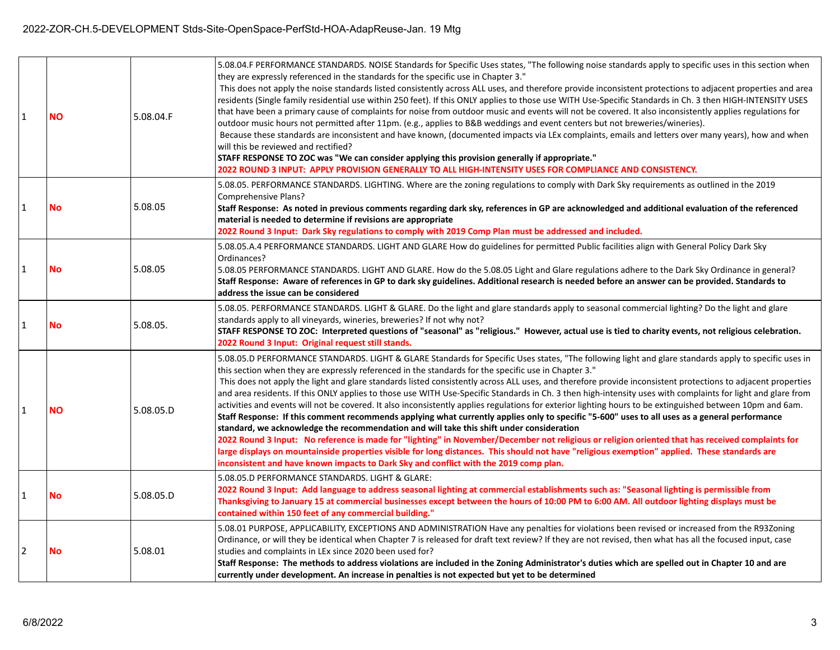| $\mathbf{1}$ | <b>NO</b> | 5.08.04.F | 5.08.04.F PERFORMANCE STANDARDS. NOISE Standards for Specific Uses states, "The following noise standards apply to specific uses in this section when<br>they are expressly referenced in the standards for the specific use in Chapter 3."<br>This does not apply the noise standards listed consistently across ALL uses, and therefore provide inconsistent protections to adjacent properties and area<br>residents (Single family residential use within 250 feet). If this ONLY applies to those use WITH Use-Specific Standards in Ch. 3 then HIGH-INTENSITY USES<br>that have been a primary cause of complaints for noise from outdoor music and events will not be covered. It also inconsistently applies regulations for<br>outdoor music hours not permitted after 11pm. (e.g., applies to B&B weddings and event centers but not breweries/wineries).<br>Because these standards are inconsistent and have known, (documented impacts via LEx complaints, emails and letters over many years), how and when<br>will this be reviewed and rectified?<br>STAFF RESPONSE TO ZOC was "We can consider applying this provision generally if appropriate."<br>2022 ROUND 3 INPUT: APPLY PROVISION GENERALLY TO ALL HIGH-INTENSITY USES FOR COMPLIANCE AND CONSISTENCY.                                                                                                                         |
|--------------|-----------|-----------|--------------------------------------------------------------------------------------------------------------------------------------------------------------------------------------------------------------------------------------------------------------------------------------------------------------------------------------------------------------------------------------------------------------------------------------------------------------------------------------------------------------------------------------------------------------------------------------------------------------------------------------------------------------------------------------------------------------------------------------------------------------------------------------------------------------------------------------------------------------------------------------------------------------------------------------------------------------------------------------------------------------------------------------------------------------------------------------------------------------------------------------------------------------------------------------------------------------------------------------------------------------------------------------------------------------------------------------------------------------------------------------------------------|
| $\mathbf{1}$ | <b>No</b> | 5.08.05   | 5.08.05. PERFORMANCE STANDARDS. LIGHTING. Where are the zoning regulations to comply with Dark Sky requirements as outlined in the 2019<br>Comprehensive Plans?<br>Staff Response: As noted in previous comments regarding dark sky, references in GP are acknowledged and additional evaluation of the referenced<br>material is needed to determine if revisions are appropriate<br>2022 Round 3 Input: Dark Sky regulations to comply with 2019 Comp Plan must be addressed and included.                                                                                                                                                                                                                                                                                                                                                                                                                                                                                                                                                                                                                                                                                                                                                                                                                                                                                                           |
| $\mathbf{1}$ | <b>No</b> | 5.08.05   | 5.08.05.A.4 PERFORMANCE STANDARDS. LIGHT AND GLARE How do guidelines for permitted Public facilities align with General Policy Dark Sky<br>Ordinances?<br>5.08.05 PERFORMANCE STANDARDS. LIGHT AND GLARE. How do the 5.08.05 Light and Glare regulations adhere to the Dark Sky Ordinance in general?<br>Staff Response: Aware of references in GP to dark sky guidelines. Additional research is needed before an answer can be provided. Standards to<br>address the issue can be considered                                                                                                                                                                                                                                                                                                                                                                                                                                                                                                                                                                                                                                                                                                                                                                                                                                                                                                         |
| $\mathbf{1}$ | <b>No</b> | 5.08.05.  | 5.08.05. PERFORMANCE STANDARDS. LIGHT & GLARE. Do the light and glare standards apply to seasonal commercial lighting? Do the light and glare<br>standards apply to all vineyards, wineries, breweries? If not why not?<br>STAFF RESPONSE TO ZOC: Interpreted questions of "seasonal" as "religious." However, actual use is tied to charity events, not religious celebration.<br>2022 Round 3 Input: Original request still stands.                                                                                                                                                                                                                                                                                                                                                                                                                                                                                                                                                                                                                                                                                                                                                                                                                                                                                                                                                                  |
| $\mathbf{1}$ | <b>NO</b> | 5.08.05.D | 5.08.05.D PERFORMANCE STANDARDS. LIGHT & GLARE Standards for Specific Uses states, "The following light and glare standards apply to specific uses in<br>this section when they are expressly referenced in the standards for the specific use in Chapter 3."<br>This does not apply the light and glare standards listed consistently across ALL uses, and therefore provide inconsistent protections to adjacent properties<br>and area residents. If this ONLY applies to those use WITH Use-Specific Standards in Ch. 3 then high-intensity uses with complaints for light and glare from<br>activities and events will not be covered. It also inconsistently applies regulations for exterior lighting hours to be extinguished between 10pm and 6am.<br>Staff Response: If this comment recommends applying what currently applies only to specific "5-600" uses to all uses as a general performance<br>standard, we acknowledge the recommendation and will take this shift under consideration<br>2022 Round 3 Input: No reference is made for "lighting" in November/December not religious or religion oriented that has received complaints for<br>large displays on mountainside properties visible for long distances. This should not have "religious exemption" applied. These standards are<br>inconsistent and have known impacts to Dark Sky and conflict with the 2019 comp plan. |
| $\mathbf{1}$ | <b>No</b> | 5.08.05.D | 5.08.05.D PERFORMANCE STANDARDS. LIGHT & GLARE:<br>2022 Round 3 Input: Add language to address seasonal lighting at commercial establishments such as: "Seasonal lighting is permissible from<br>Thanksgiving to January 15 at commercial businesses except between the hours of 10:00 PM to 6:00 AM. All outdoor lighting displays must be<br>contained within 150 feet of any commercial building."                                                                                                                                                                                                                                                                                                                                                                                                                                                                                                                                                                                                                                                                                                                                                                                                                                                                                                                                                                                                  |
| 2            | <b>No</b> | 5.08.01   | 5.08.01 PURPOSE, APPLICABILITY, EXCEPTIONS AND ADMINISTRATION Have any penalties for violations been revised or increased from the R93Zoning<br>Ordinance, or will they be identical when Chapter 7 is released for draft text review? If they are not revised, then what has all the focused input, case<br>studies and complaints in LEx since 2020 been used for?<br>Staff Response: The methods to address violations are included in the Zoning Administrator's duties which are spelled out in Chapter 10 and are<br>currently under development. An increase in penalties is not expected but yet to be determined                                                                                                                                                                                                                                                                                                                                                                                                                                                                                                                                                                                                                                                                                                                                                                              |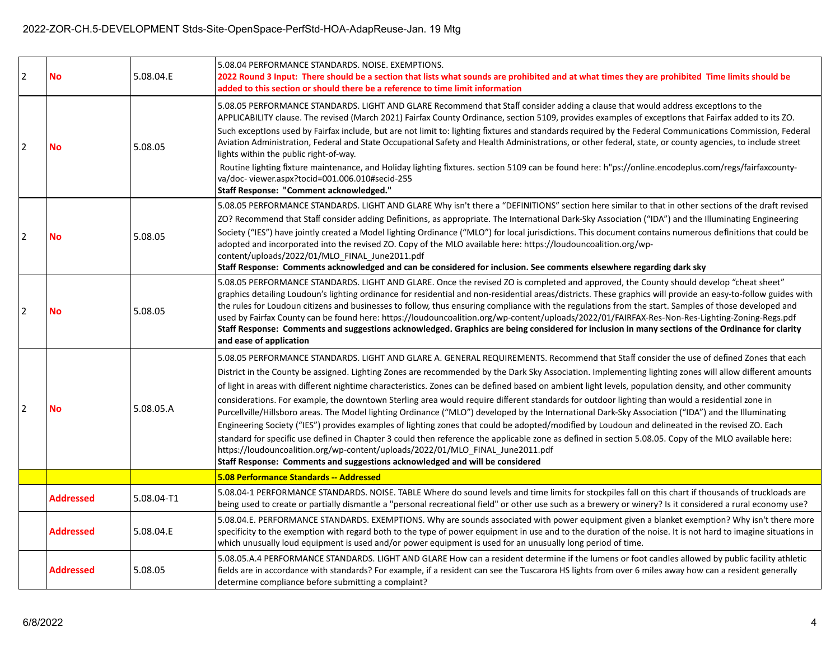## 2022-ZOR-CH.5-DEVELOPMENT Stds-Site-OpenSpace-PerfStd-HOA-AdapReuse-Jan. 19 Mtg

| $\overline{2}$ | <b>No</b>        | 5.08.04.E  | 5.08.04 PERFORMANCE STANDARDS, NOISE, EXEMPTIONS.<br>2022 Round 3 Input: There should be a section that lists what sounds are prohibited and at what times they are prohibited Time limits should be<br>added to this section or should there be a reference to time limit information                                                                                                                                                                                                                                                                                                                                                                                                                                                                                                                                                                                                                                                                                                                                                                                                                                                                                                                                                                   |
|----------------|------------------|------------|----------------------------------------------------------------------------------------------------------------------------------------------------------------------------------------------------------------------------------------------------------------------------------------------------------------------------------------------------------------------------------------------------------------------------------------------------------------------------------------------------------------------------------------------------------------------------------------------------------------------------------------------------------------------------------------------------------------------------------------------------------------------------------------------------------------------------------------------------------------------------------------------------------------------------------------------------------------------------------------------------------------------------------------------------------------------------------------------------------------------------------------------------------------------------------------------------------------------------------------------------------|
| 12             | <b>No</b>        | 5.08.05    | 5.08.05 PERFORMANCE STANDARDS. LIGHT AND GLARE Recommend that Staff consider adding a clause that would address exceptIons to the<br>APPLICABILITY clause. The revised (March 2021) Fairfax County Ordinance, section 5109, provides examples of exceptIons that Fairfax added to its ZO.<br>Such exceptions used by Fairfax include, but are not limit to: lighting fixtures and standards required by the Federal Communications Commission, Federal<br>Aviation Administration, Federal and State Occupational Safety and Health Administrations, or other federal, state, or county agencies, to include street<br>lights within the public right-of-way.<br>Routine lighting fixture maintenance, and Holiday lighting fixtures. section 5109 can be found here: h"ps://online.encodeplus.com/regs/fairfaxcounty-<br>va/doc-viewer.aspx?tocid=001.006.010#secid-255<br>Staff Response: "Comment acknowledged."                                                                                                                                                                                                                                                                                                                                      |
| $\overline{2}$ | <b>No</b>        | 5.08.05    | 5.08.05 PERFORMANCE STANDARDS. LIGHT AND GLARE Why isn't there a "DEFINITIONS" section here similar to that in other sections of the draft revised<br>ZO? Recommend that Staff consider adding Definitions, as appropriate. The International Dark-Sky Association ("IDA") and the Illuminating Engineering<br>Society ("IES") have jointly created a Model lighting Ordinance ("MLO") for local jurisdictions. This document contains numerous definitions that could be<br>adopted and incorporated into the revised ZO. Copy of the MLO available here: https://loudouncoalition.org/wp-<br>content/uploads/2022/01/MLO_FINAL_June2011.pdf<br>Staff Response: Comments acknowledged and can be considered for inclusion. See comments elsewhere regarding dark sky                                                                                                                                                                                                                                                                                                                                                                                                                                                                                    |
| $\overline{2}$ | <b>No</b>        | 5.08.05    | 5.08.05 PERFORMANCE STANDARDS. LIGHT AND GLARE. Once the revised ZO is completed and approved, the County should develop "cheat sheet"<br>graphics detailing Loudoun's lighting ordinance for residential and non-residential areas/districts. These graphics will provide an easy-to-follow guides with<br>the rules for Loudoun citizens and businesses to follow, thus ensuring compliance with the regulations from the start. Samples of those developed and<br>used by Fairfax County can be found here: https://loudouncoalition.org/wp-content/uploads/2022/01/FAIRFAX-Res-Non-Res-Lighting-Zoning-Regs.pdf<br>Staff Response: Comments and suggestions acknowledged. Graphics are being considered for inclusion in many sections of the Ordinance for clarity<br>and ease of application                                                                                                                                                                                                                                                                                                                                                                                                                                                       |
| 2              | <b>No</b>        | 5.08.05.A  | 5.08.05 PERFORMANCE STANDARDS. LIGHT AND GLARE A. GENERAL REQUIREMENTS. Recommend that Staff consider the use of defined Zones that each<br>District in the County be assigned. Lighting Zones are recommended by the Dark Sky Association. Implementing lighting zones will allow different amounts<br>of light in areas with different nightime characteristics. Zones can be defined based on ambient light levels, population density, and other community<br>considerations. For example, the downtown Sterling area would require different standards for outdoor lighting than would a residential zone in<br>Purcellville/Hillsboro areas. The Model lighting Ordinance ("MLO") developed by the International Dark-Sky Association ("IDA") and the Illuminating<br>Engineering Society ("IES") provides examples of lighting zones that could be adopted/modified by Loudoun and delineated in the revised ZO. Each<br>standard for specific use defined in Chapter 3 could then reference the applicable zone as defined in section 5.08.05. Copy of the MLO available here:<br>https://loudouncoalition.org/wp-content/uploads/2022/01/MLO FINAL June2011.pdf<br>Staff Response: Comments and suggestions acknowledged and will be considered |
|                |                  |            | 5.08 Performance Standards -- Addressed                                                                                                                                                                                                                                                                                                                                                                                                                                                                                                                                                                                                                                                                                                                                                                                                                                                                                                                                                                                                                                                                                                                                                                                                                  |
|                | <b>Addressed</b> | 5.08.04-T1 | 5.08.04-1 PERFORMANCE STANDARDS. NOISE. TABLE Where do sound levels and time limits for stockpiles fall on this chart if thousands of truckloads are<br>being used to create or partially dismantle a "personal recreational field" or other use such as a brewery or winery? Is it considered a rural economy use?                                                                                                                                                                                                                                                                                                                                                                                                                                                                                                                                                                                                                                                                                                                                                                                                                                                                                                                                      |
|                | <b>Addressed</b> | 5.08.04.E  | 5.08.04.E. PERFORMANCE STANDARDS. EXEMPTIONS. Why are sounds associated with power equipment given a blanket exemption? Why isn't there more<br>specificity to the exemption with regard both to the type of power equipment in use and to the duration of the noise. It is not hard to imagine situations in<br>which unusually loud equipment is used and/or power equipment is used for an unusually long period of time.                                                                                                                                                                                                                                                                                                                                                                                                                                                                                                                                                                                                                                                                                                                                                                                                                             |
|                | <b>Addressed</b> | 5.08.05    | 5.08.05.A.4 PERFORMANCE STANDARDS. LIGHT AND GLARE How can a resident determine if the lumens or foot candles allowed by public facility athletic<br>fields are in accordance with standards? For example, if a resident can see the Tuscarora HS lights from over 6 miles away how can a resident generally<br>determine compliance before submitting a complaint?                                                                                                                                                                                                                                                                                                                                                                                                                                                                                                                                                                                                                                                                                                                                                                                                                                                                                      |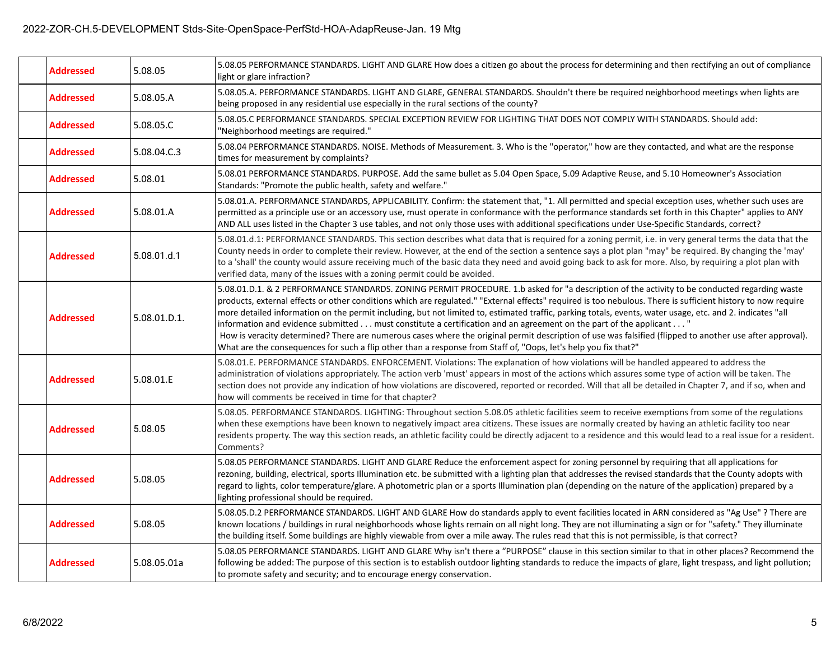| <b>Addressed</b> | 5.08.05      | 5.08.05 PERFORMANCE STANDARDS. LIGHT AND GLARE How does a citizen go about the process for determining and then rectifying an out of compliance<br>light or glare infraction?                                                                                                                                                                                                                                                                                                                                                                                                                                                                                                                                                                                                                                                                                                   |
|------------------|--------------|---------------------------------------------------------------------------------------------------------------------------------------------------------------------------------------------------------------------------------------------------------------------------------------------------------------------------------------------------------------------------------------------------------------------------------------------------------------------------------------------------------------------------------------------------------------------------------------------------------------------------------------------------------------------------------------------------------------------------------------------------------------------------------------------------------------------------------------------------------------------------------|
| <b>Addressed</b> | 5.08.05.A    | 5.08.05.A. PERFORMANCE STANDARDS. LIGHT AND GLARE, GENERAL STANDARDS. Shouldn't there be required neighborhood meetings when lights are<br>being proposed in any residential use especially in the rural sections of the county?                                                                                                                                                                                                                                                                                                                                                                                                                                                                                                                                                                                                                                                |
| <b>Addressed</b> | 5.08.05.C    | 5.08.05.C PERFORMANCE STANDARDS. SPECIAL EXCEPTION REVIEW FOR LIGHTING THAT DOES NOT COMPLY WITH STANDARDS. Should add:<br>"Neighborhood meetings are required."                                                                                                                                                                                                                                                                                                                                                                                                                                                                                                                                                                                                                                                                                                                |
| <b>Addressed</b> | 5.08.04.C.3  | 5.08.04 PERFORMANCE STANDARDS. NOISE. Methods of Measurement. 3. Who is the "operator," how are they contacted, and what are the response<br>times for measurement by complaints?                                                                                                                                                                                                                                                                                                                                                                                                                                                                                                                                                                                                                                                                                               |
| Addressed        | 5.08.01      | 5.08.01 PERFORMANCE STANDARDS. PURPOSE. Add the same bullet as 5.04 Open Space, 5.09 Adaptive Reuse, and 5.10 Homeowner's Association<br>Standards: "Promote the public health, safety and welfare."                                                                                                                                                                                                                                                                                                                                                                                                                                                                                                                                                                                                                                                                            |
| Addressed        | 5.08.01.A    | 5.08.01.A. PERFORMANCE STANDARDS, APPLICABILITY. Confirm: the statement that, "1. All permitted and special exception uses, whether such uses are<br>permitted as a principle use or an accessory use, must operate in conformance with the performance standards set forth in this Chapter" applies to ANY<br>AND ALL uses listed in the Chapter 3 use tables, and not only those uses with additional specifications under Use-Specific Standards, correct?                                                                                                                                                                                                                                                                                                                                                                                                                   |
| <b>Addressed</b> | 5.08.01.d.1  | 5.08.01.d.1: PERFORMANCE STANDARDS. This section describes what data that is required for a zoning permit, i.e. in very general terms the data that the<br>County needs in order to complete their review. However, at the end of the section a sentence says a plot plan "may" be required. By changing the 'may'<br>to a 'shall' the county would assure receiving much of the basic data they need and avoid going back to ask for more. Also, by requiring a plot plan with<br>verified data, many of the issues with a zoning permit could be avoided.                                                                                                                                                                                                                                                                                                                     |
| Addressed        | 5.08.01.D.1. | 5.08.01.D.1. & 2 PERFORMANCE STANDARDS. ZONING PERMIT PROCEDURE. 1.b asked for "a description of the activity to be conducted regarding waste<br>products, external effects or other conditions which are regulated." "External effects" required is too nebulous. There is sufficient history to now require<br>more detailed information on the permit including, but not limited to, estimated traffic, parking totals, events, water usage, etc. and 2. indicates "all<br>information and evidence submitted must constitute a certification and an agreement on the part of the applicant "<br>How is veracity determined? There are numerous cases where the original permit description of use was falsified (flipped to another use after approval).<br>What are the consequences for such a flip other than a response from Staff of, "Oops, let's help you fix that?" |
| <b>Addressed</b> | 5.08.01.E    | 5.08.01.E. PERFORMANCE STANDARDS. ENFORCEMENT. Violations: The explanation of how violations will be handled appeared to address the<br>administration of violations appropriately. The action verb 'must' appears in most of the actions which assures some type of action will be taken. The<br>section does not provide any indication of how violations are discovered, reported or recorded. Will that all be detailed in Chapter 7, and if so, when and<br>how will comments be received in time for that chapter?                                                                                                                                                                                                                                                                                                                                                        |
| Addressed        | 5.08.05      | 5.08.05. PERFORMANCE STANDARDS. LIGHTING: Throughout section 5.08.05 athletic facilities seem to receive exemptions from some of the regulations<br>when these exemptions have been known to negatively impact area citizens. These issues are normally created by having an athletic facility too near<br>residents property. The way this section reads, an athletic facility could be directly adjacent to a residence and this would lead to a real issue for a resident.<br>Comments?                                                                                                                                                                                                                                                                                                                                                                                      |
| <b>Addressed</b> | 5.08.05      | 5.08.05 PERFORMANCE STANDARDS. LIGHT AND GLARE Reduce the enforcement aspect for zoning personnel by requiring that all applications for<br>rezoning, building, electrical, sports Illumination etc. be submitted with a lighting plan that addresses the revised standards that the County adopts with<br>regard to lights, color temperature/glare. A photometric plan or a sports Illumination plan (depending on the nature of the application) prepared by a<br>lighting professional should be required.                                                                                                                                                                                                                                                                                                                                                                  |
| <b>Addressed</b> | 5.08.05      | 5.08.05.D.2 PERFORMANCE STANDARDS. LIGHT AND GLARE How do standards apply to event facilities located in ARN considered as "Ag Use" ? There are<br>known locations / buildings in rural neighborhoods whose lights remain on all night long. They are not illuminating a sign or for "safety." They illuminate<br>the building itself. Some buildings are highly viewable from over a mile away. The rules read that this is not permissible, is that correct?                                                                                                                                                                                                                                                                                                                                                                                                                  |
| <b>Addressed</b> | 5.08.05.01a  | 5.08.05 PERFORMANCE STANDARDS. LIGHT AND GLARE Why isn't there a "PURPOSE" clause in this section similar to that in other places? Recommend the<br>following be added: The purpose of this section is to establish outdoor lighting standards to reduce the impacts of glare, light trespass, and light pollution;<br>to promote safety and security; and to encourage energy conservation.                                                                                                                                                                                                                                                                                                                                                                                                                                                                                    |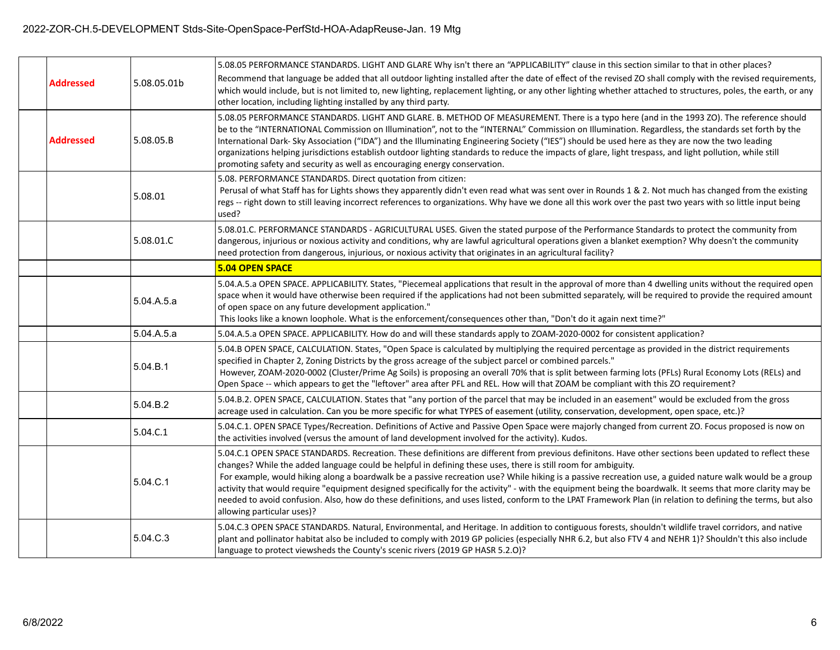## 2022-ZOR-CH.5-DEVELOPMENT Stds-Site-OpenSpace-PerfStd-HOA-AdapReuse-Jan. 19 Mtg

|                  |             | 5.08.05 PERFORMANCE STANDARDS. LIGHT AND GLARE Why isn't there an "APPLICABILITY" clause in this section similar to that in other places?                                                                                                                                                                                                                                                                                                                                                                                                                                                                                                                                                                                                                                                      |
|------------------|-------------|------------------------------------------------------------------------------------------------------------------------------------------------------------------------------------------------------------------------------------------------------------------------------------------------------------------------------------------------------------------------------------------------------------------------------------------------------------------------------------------------------------------------------------------------------------------------------------------------------------------------------------------------------------------------------------------------------------------------------------------------------------------------------------------------|
| <b>Addressed</b> | 5.08.05.01b | Recommend that language be added that all outdoor lighting installed after the date of effect of the revised ZO shall comply with the revised requirements,<br>which would include, but is not limited to, new lighting, replacement lighting, or any other lighting whether attached to structures, poles, the earth, or any<br>other location, including lighting installed by any third party.                                                                                                                                                                                                                                                                                                                                                                                              |
| <b>Addressed</b> | 5.08.05.B   | 5.08.05 PERFORMANCE STANDARDS. LIGHT AND GLARE. B. METHOD OF MEASUREMENT. There is a typo here (and in the 1993 ZO). The reference should<br>be to the "INTERNATIONAL Commission on Illumination", not to the "INTERNAL" Commission on Illumination. Regardless, the standards set forth by the<br>International Dark- Sky Association ("IDA") and the Illuminating Engineering Society ("IES") should be used here as they are now the two leading<br>organizations helping jurisdictions establish outdoor lighting standards to reduce the impacts of glare, light trespass, and light pollution, while still<br>promoting safety and security as well as encouraging energy conservation.                                                                                                  |
|                  | 5.08.01     | 5.08. PERFORMANCE STANDARDS. Direct quotation from citizen:<br>Perusal of what Staff has for Lights shows they apparently didn't even read what was sent over in Rounds 1 & 2. Not much has changed from the existing<br>regs -- right down to still leaving incorrect references to organizations. Why have we done all this work over the past two years with so little input being<br>used?                                                                                                                                                                                                                                                                                                                                                                                                 |
|                  | 5.08.01.C   | 5.08.01.C. PERFORMANCE STANDARDS - AGRICULTURAL USES. Given the stated purpose of the Performance Standards to protect the community from<br>dangerous, injurious or noxious activity and conditions, why are lawful agricultural operations given a blanket exemption? Why doesn't the community<br>need protection from dangerous, injurious, or noxious activity that originates in an agricultural facility?                                                                                                                                                                                                                                                                                                                                                                               |
|                  |             | <b>5.04 OPEN SPACE</b>                                                                                                                                                                                                                                                                                                                                                                                                                                                                                                                                                                                                                                                                                                                                                                         |
|                  | 5.04.A.5.a  | 5.04.A.5.a OPEN SPACE. APPLICABILITY. States, "Piecemeal applications that result in the approval of more than 4 dwelling units without the required open<br>space when it would have otherwise been required if the applications had not been submitted separately, will be required to provide the required amount<br>of open space on any future development application."<br>This looks like a known loophole. What is the enforcement/consequences other than, "Don't do it again next time?"                                                                                                                                                                                                                                                                                             |
|                  | 5.04.A.5.a  | 5.04.A.5.a OPEN SPACE. APPLICABILITY. How do and will these standards apply to ZOAM-2020-0002 for consistent application?                                                                                                                                                                                                                                                                                                                                                                                                                                                                                                                                                                                                                                                                      |
|                  | 5.04.B.1    | 5.04.B OPEN SPACE, CALCULATION. States, "Open Space is calculated by multiplying the required percentage as provided in the district requirements<br>specified in Chapter 2, Zoning Districts by the gross acreage of the subject parcel or combined parcels."<br>However, ZOAM-2020-0002 (Cluster/Prime Ag Soils) is proposing an overall 70% that is split between farming lots (PFLs) Rural Economy Lots (RELs) and<br>Open Space -- which appears to get the "leftover" area after PFL and REL. How will that ZOAM be compliant with this ZO requirement?                                                                                                                                                                                                                                  |
|                  | 5.04.B.2    | 5.04.B.2. OPEN SPACE, CALCULATION. States that "any portion of the parcel that may be included in an easement" would be excluded from the gross<br>acreage used in calculation. Can you be more specific for what TYPES of easement (utility, conservation, development, open space, etc.)?                                                                                                                                                                                                                                                                                                                                                                                                                                                                                                    |
|                  | 5.04.C.1    | 5.04.C.1. OPEN SPACE Types/Recreation. Definitions of Active and Passive Open Space were majorly changed from current ZO. Focus proposed is now on<br>the activities involved (versus the amount of land development involved for the activity). Kudos.                                                                                                                                                                                                                                                                                                                                                                                                                                                                                                                                        |
|                  | 5.04.C.1    | 5.04.C.1 OPEN SPACE STANDARDS. Recreation. These definitions are different from previous definitons. Have other sections been updated to reflect these<br>changes? While the added language could be helpful in defining these uses, there is still room for ambiguity.<br>For example, would hiking along a boardwalk be a passive recreation use? While hiking is a passive recreation use, a guided nature walk would be a group<br>activity that would require "equipment designed specifically for the activity" - with the equipment being the boardwalk. It seems that more clarity may be<br>needed to avoid confusion. Also, how do these definitions, and uses listed, conform to the LPAT Framework Plan (in relation to defining the terms, but also<br>allowing particular uses)? |
|                  | 5.04.C.3    | 5.04.C.3 OPEN SPACE STANDARDS. Natural, Environmental, and Heritage. In addition to contiguous forests, shouldn't wildlife travel corridors, and native<br>plant and pollinator habitat also be included to comply with 2019 GP policies (especially NHR 6.2, but also FTV 4 and NEHR 1)? Shouldn't this also include<br>language to protect viewsheds the County's scenic rivers (2019 GP HASR 5.2.0)?                                                                                                                                                                                                                                                                                                                                                                                        |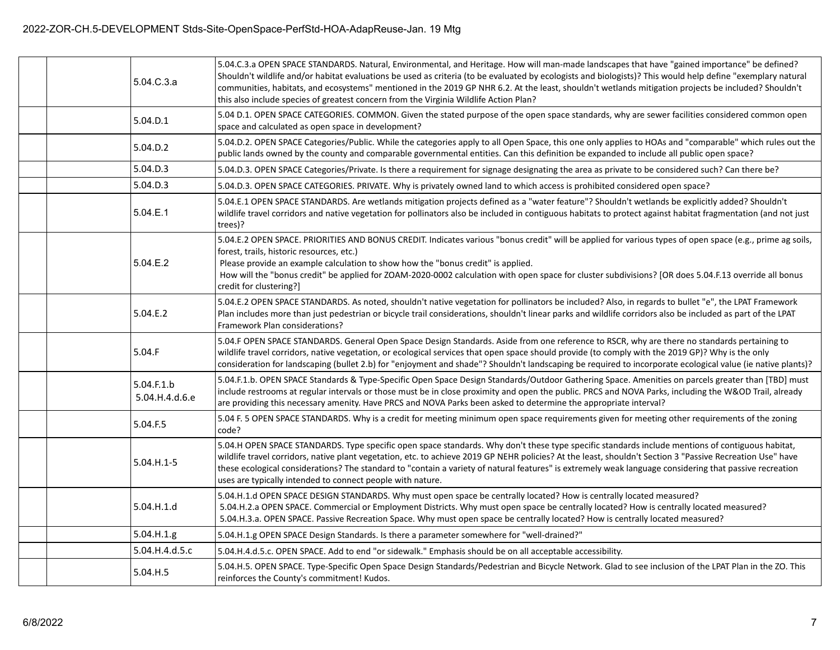| 5.04.C.3.a                   | 5.04.C.3.a OPEN SPACE STANDARDS. Natural, Environmental, and Heritage. How will man-made landscapes that have "gained importance" be defined?<br>Shouldn't wildlife and/or habitat evaluations be used as criteria (to be evaluated by ecologists and biologists)? This would help define "exemplary natural<br>communities, habitats, and ecosystems" mentioned in the 2019 GP NHR 6.2. At the least, shouldn't wetlands mitigation projects be included? Shouldn't<br>this also include species of greatest concern from the Virginia Wildlife Action Plan? |
|------------------------------|---------------------------------------------------------------------------------------------------------------------------------------------------------------------------------------------------------------------------------------------------------------------------------------------------------------------------------------------------------------------------------------------------------------------------------------------------------------------------------------------------------------------------------------------------------------|
| 5.04.D.1                     | 5.04 D.1. OPEN SPACE CATEGORIES. COMMON. Given the stated purpose of the open space standards, why are sewer facilities considered common open<br>space and calculated as open space in development?                                                                                                                                                                                                                                                                                                                                                          |
| 5.04.D.2                     | 5.04.D.2. OPEN SPACE Categories/Public. While the categories apply to all Open Space, this one only applies to HOAs and "comparable" which rules out the<br>public lands owned by the county and comparable governmental entities. Can this definition be expanded to include all public open space?                                                                                                                                                                                                                                                          |
| 5.04.D.3                     | 5.04.D.3. OPEN SPACE Categories/Private. Is there a requirement for signage designating the area as private to be considered such? Can there be?                                                                                                                                                                                                                                                                                                                                                                                                              |
| 5.04.D.3                     | 5.04.D.3. OPEN SPACE CATEGORIES. PRIVATE. Why is privately owned land to which access is prohibited considered open space?                                                                                                                                                                                                                                                                                                                                                                                                                                    |
| 5.04.E.1                     | 5.04.E.1 OPEN SPACE STANDARDS. Are wetlands mitigation projects defined as a "water feature"? Shouldn't wetlands be explicitly added? Shouldn't<br>wildlife travel corridors and native vegetation for pollinators also be included in contiguous habitats to protect against habitat fragmentation (and not just<br>trees)?                                                                                                                                                                                                                                  |
| 5.04.E.2                     | 5.04.E.2 OPEN SPACE. PRIORITIES AND BONUS CREDIT. Indicates various "bonus credit" will be applied for various types of open space (e.g., prime ag soils,<br>forest, trails, historic resources, etc.)<br>Please provide an example calculation to show how the "bonus credit" is applied.<br>How will the "bonus credit" be applied for ZOAM-2020-0002 calculation with open space for cluster subdivisions? [OR does 5.04.F.13 override all bonus<br>credit for clustering?]                                                                                |
| 5.04.E.2                     | 5.04.E.2 OPEN SPACE STANDARDS. As noted, shouldn't native vegetation for pollinators be included? Also, in regards to bullet "e", the LPAT Framework<br>Plan includes more than just pedestrian or bicycle trail considerations, shouldn't linear parks and wildlife corridors also be included as part of the LPAT<br>Framework Plan considerations?                                                                                                                                                                                                         |
| 5.04.F                       | 5.04.F OPEN SPACE STANDARDS. General Open Space Design Standards. Aside from one reference to RSCR, why are there no standards pertaining to<br>wildlife travel corridors, native vegetation, or ecological services that open space should provide (to comply with the 2019 GP)? Why is the only<br>consideration for landscaping (bullet 2.b) for "enjoyment and shade"? Shouldn't landscaping be required to incorporate ecological value (ie native plants)?                                                                                              |
| 5.04.F.1.b<br>5.04.H.4.d.6.e | 5.04.F.1.b. OPEN SPACE Standards & Type-Specific Open Space Design Standards/Outdoor Gathering Space. Amenities on parcels greater than [TBD] must<br>include restrooms at regular intervals or those must be in close proximity and open the public. PRCS and NOVA Parks, including the W&OD Trail, already<br>are providing this necessary amenity. Have PRCS and NOVA Parks been asked to determine the appropriate interval?                                                                                                                              |
| 5.04.F.5                     | 5.04 F. 5 OPEN SPACE STANDARDS. Why is a credit for meeting minimum open space requirements given for meeting other requirements of the zoning<br>code?                                                                                                                                                                                                                                                                                                                                                                                                       |
| $5.04.H.1-5$                 | 5.04.H OPEN SPACE STANDARDS. Type specific open space standards. Why don't these type specific standards include mentions of contiguous habitat,<br>wildlife travel corridors, native plant vegetation, etc. to achieve 2019 GP NEHR policies? At the least, shouldn't Section 3 "Passive Recreation Use" have<br>these ecological considerations? The standard to "contain a variety of natural features" is extremely weak language considering that passive recreation<br>uses are typically intended to connect people with nature.                       |
| 5.04.H.1.d                   | 5.04.H.1.d OPEN SPACE DESIGN STANDARDS. Why must open space be centrally located? How is centrally located measured?<br>5.04.H.2.a OPEN SPACE. Commercial or Employment Districts. Why must open space be centrally located? How is centrally located measured?<br>5.04.H.3.a. OPEN SPACE. Passive Recreation Space. Why must open space be centrally located? How is centrally located measured?                                                                                                                                                             |
| 5.04.H.1.g                   | 5.04.H.1.g OPEN SPACE Design Standards. Is there a parameter somewhere for "well-drained?"                                                                                                                                                                                                                                                                                                                                                                                                                                                                    |
| 5.04.H.4.d.5.c               | 5.04.H.4.d.5.c. OPEN SPACE. Add to end "or sidewalk." Emphasis should be on all acceptable accessibility.                                                                                                                                                                                                                                                                                                                                                                                                                                                     |
| 5.04.H.5                     | 5.04.H.5. OPEN SPACE. Type-Specific Open Space Design Standards/Pedestrian and Bicycle Network. Glad to see inclusion of the LPAT Plan in the ZO. This<br>reinforces the County's commitment! Kudos.                                                                                                                                                                                                                                                                                                                                                          |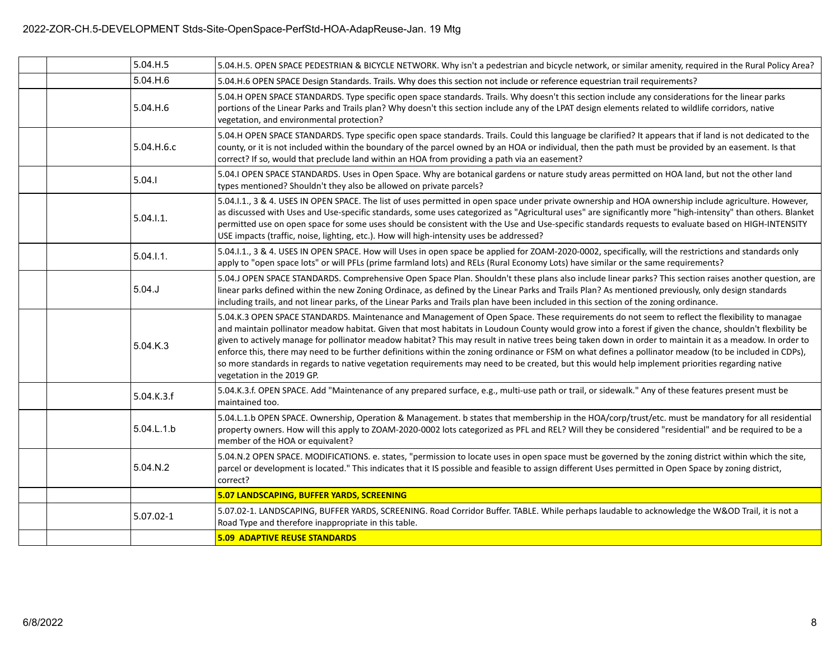| 5.04.H.5      | 5.04.H.5. OPEN SPACE PEDESTRIAN & BICYCLE NETWORK. Why isn't a pedestrian and bicycle network, or similar amenity, required in the Rural Policy Area?                                                                                                                                                                                                                                                                                                                                                                                                                                                                                                                                                                                                                                                               |
|---------------|---------------------------------------------------------------------------------------------------------------------------------------------------------------------------------------------------------------------------------------------------------------------------------------------------------------------------------------------------------------------------------------------------------------------------------------------------------------------------------------------------------------------------------------------------------------------------------------------------------------------------------------------------------------------------------------------------------------------------------------------------------------------------------------------------------------------|
| 5.04.H.6      | 5.04.H.6 OPEN SPACE Design Standards. Trails. Why does this section not include or reference equestrian trail requirements?                                                                                                                                                                                                                                                                                                                                                                                                                                                                                                                                                                                                                                                                                         |
| 5.04.H.6      | 5.04.H OPEN SPACE STANDARDS. Type specific open space standards. Trails. Why doesn't this section include any considerations for the linear parks<br>portions of the Linear Parks and Trails plan? Why doesn't this section include any of the LPAT design elements related to wildlife corridors, native<br>vegetation, and environmental protection?                                                                                                                                                                                                                                                                                                                                                                                                                                                              |
| 5.04.H.6.c    | 5.04.H OPEN SPACE STANDARDS. Type specific open space standards. Trails. Could this language be clarified? It appears that if land is not dedicated to the<br>county, or it is not included within the boundary of the parcel owned by an HOA or individual, then the path must be provided by an easement. Is that<br>correct? If so, would that preclude land within an HOA from providing a path via an easement?                                                                                                                                                                                                                                                                                                                                                                                                |
| 5.04.1        | 5.04.I OPEN SPACE STANDARDS. Uses in Open Space. Why are botanical gardens or nature study areas permitted on HOA land, but not the other land<br>types mentioned? Shouldn't they also be allowed on private parcels?                                                                                                                                                                                                                                                                                                                                                                                                                                                                                                                                                                                               |
| 5.04.1.1.     | 5.04.I.1., 3 & 4. USES IN OPEN SPACE. The list of uses permitted in open space under private ownership and HOA ownership include agriculture. However,<br>as discussed with Uses and Use-specific standards, some uses categorized as "Agricultural uses" are significantly more "high-intensity" than others. Blanket<br>permitted use on open space for some uses should be consistent with the Use and Use-specific standards requests to evaluate based on HIGH-INTENSITY<br>USE impacts (traffic, noise, lighting, etc.). How will high-intensity uses be addressed?                                                                                                                                                                                                                                           |
| 5.04.1.1.     | 5.04.I.1., 3 & 4. USES IN OPEN SPACE. How will Uses in open space be applied for ZOAM-2020-0002, specifically, will the restrictions and standards only<br>apply to "open space lots" or will PFLs (prime farmland lots) and RELs (Rural Economy Lots) have similar or the same requirements?                                                                                                                                                                                                                                                                                                                                                                                                                                                                                                                       |
| 5.04.         | 5.04.J OPEN SPACE STANDARDS. Comprehensive Open Space Plan. Shouldn't these plans also include linear parks? This section raises another question, are<br>linear parks defined within the new Zoning Ordinace, as defined by the Linear Parks and Trails Plan? As mentioned previously, only design standards<br>including trails, and not linear parks, of the Linear Parks and Trails plan have been included in this section of the zoning ordinance.                                                                                                                                                                                                                                                                                                                                                            |
| 5.04.K.3      | 5.04.K.3 OPEN SPACE STANDARDS. Maintenance and Management of Open Space. These requirements do not seem to reflect the flexibility to managae<br>and maintain pollinator meadow habitat. Given that most habitats in Loudoun County would grow into a forest if given the chance, shouldn't flexbility be<br>given to actively manage for pollinator meadow habitat? This may result in native trees being taken down in order to maintain it as a meadow. In order to<br>enforce this, there may need to be further definitions within the zoning ordinance or FSM on what defines a pollinator meadow (to be included in CDPs),<br>so more standards in regards to native vegetation requirements may need to be created, but this would help implement priorities regarding native<br>vegetation in the 2019 GP. |
| 5.04.K.3.f    | 5.04.K.3.f. OPEN SPACE. Add "Maintenance of any prepared surface, e.g., multi-use path or trail, or sidewalk." Any of these features present must be<br>maintained too.                                                                                                                                                                                                                                                                                                                                                                                                                                                                                                                                                                                                                                             |
| 5.04.L.1.b    | 5.04.L.1.b OPEN SPACE. Ownership, Operation & Management. b states that membership in the HOA/corp/trust/etc. must be mandatory for all residential<br>property owners. How will this apply to ZOAM-2020-0002 lots categorized as PFL and REL? Will they be considered "residential" and be required to be a<br>member of the HOA or equivalent?                                                                                                                                                                                                                                                                                                                                                                                                                                                                    |
| 5.04.N.2      | 5.04.N.2 OPEN SPACE. MODIFICATIONS. e. states, "permission to locate uses in open space must be governed by the zoning district within which the site,<br>parcel or development is located." This indicates that it IS possible and feasible to assign different Uses permitted in Open Space by zoning district,<br>correct?                                                                                                                                                                                                                                                                                                                                                                                                                                                                                       |
|               | 5.07 LANDSCAPING, BUFFER YARDS, SCREENING                                                                                                                                                                                                                                                                                                                                                                                                                                                                                                                                                                                                                                                                                                                                                                           |
| $5.07.02 - 1$ | 5.07.02-1. LANDSCAPING, BUFFER YARDS, SCREENING. Road Corridor Buffer. TABLE. While perhaps laudable to acknowledge the W&OD Trail, it is not a<br>Road Type and therefore inappropriate in this table.                                                                                                                                                                                                                                                                                                                                                                                                                                                                                                                                                                                                             |
|               | <b>5.09 ADAPTIVE REUSE STANDARDS</b>                                                                                                                                                                                                                                                                                                                                                                                                                                                                                                                                                                                                                                                                                                                                                                                |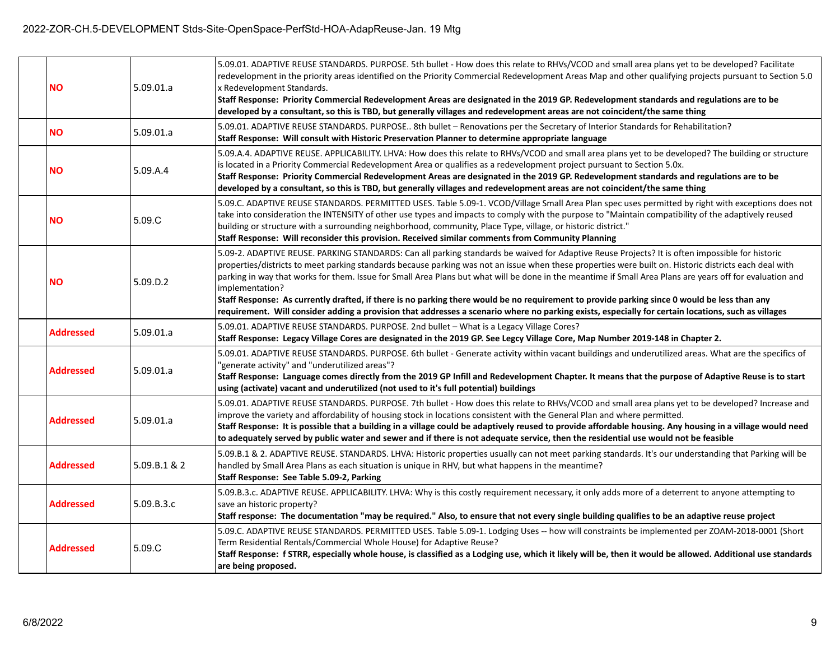| <b>NO</b>        | 5.09.01.a    | 5.09.01. ADAPTIVE REUSE STANDARDS. PURPOSE. 5th bullet - How does this relate to RHVs/VCOD and small area plans yet to be developed? Facilitate<br>redevelopment in the priority areas identified on the Priority Commercial Redevelopment Areas Map and other qualifying projects pursuant to Section 5.0<br>x Redevelopment Standards.<br>Staff Response: Priority Commercial Redevelopment Areas are designated in the 2019 GP. Redevelopment standards and regulations are to be<br>developed by a consultant, so this is TBD, but generally villages and redevelopment areas are not coincident/the same thing                                                                                                                                                                              |
|------------------|--------------|--------------------------------------------------------------------------------------------------------------------------------------------------------------------------------------------------------------------------------------------------------------------------------------------------------------------------------------------------------------------------------------------------------------------------------------------------------------------------------------------------------------------------------------------------------------------------------------------------------------------------------------------------------------------------------------------------------------------------------------------------------------------------------------------------|
| <b>NO</b>        | 5.09.01.a    | 5.09.01. ADAPTIVE REUSE STANDARDS. PURPOSE 8th bullet - Renovations per the Secretary of Interior Standards for Rehabilitation?<br>Staff Response: Will consult with Historic Preservation Planner to determine appropriate language                                                                                                                                                                                                                                                                                                                                                                                                                                                                                                                                                             |
| <b>NO</b>        | 5.09.A.4     | 5.09.A.4. ADAPTIVE REUSE. APPLICABILITY. LHVA: How does this relate to RHVs/VCOD and small area plans yet to be developed? The building or structure<br>is located in a Priority Commercial Redevelopment Area or qualifies as a redevelopment project pursuant to Section 5.0x.<br>Staff Response: Priority Commercial Redevelopment Areas are designated in the 2019 GP. Redevelopment standards and regulations are to be<br>developed by a consultant, so this is TBD, but generally villages and redevelopment areas are not coincident/the same thing                                                                                                                                                                                                                                      |
| <b>NO</b>        | 5.09.C       | 5.09.C. ADAPTIVE REUSE STANDARDS. PERMITTED USES. Table 5.09-1. VCOD/Village Small Area Plan spec uses permitted by right with exceptions does not<br>take into consideration the INTENSITY of other use types and impacts to comply with the purpose to "Maintain compatibility of the adaptively reused<br>building or structure with a surrounding neighborhood, community, Place Type, village, or historic district."<br>Staff Response: Will reconsider this provision. Received similar comments from Community Planning                                                                                                                                                                                                                                                                  |
| <b>NO</b>        | 5.09.D.2     | 5.09-2. ADAPTIVE REUSE. PARKING STANDARDS: Can all parking standards be waived for Adaptive Reuse Projects? It is often impossible for historic<br>properties/districts to meet parking standards because parking was not an issue when these properties were built on. Historic districts each deal with<br>parking in way that works for them. Issue for Small Area Plans but what will be done in the meantime if Small Area Plans are years off for evaluation and<br>implementation?<br>Staff Response: As currently drafted, if there is no parking there would be no requirement to provide parking since 0 would be less than any<br>requirement. Will consider adding a provision that addresses a scenario where no parking exists, especially for certain locations, such as villages |
| <b>Addressed</b> | 5.09.01.a    | 5.09.01. ADAPTIVE REUSE STANDARDS. PURPOSE. 2nd bullet - What is a Legacy Village Cores?<br>Staff Response: Legacy Village Cores are designated in the 2019 GP. See Legcy Village Core, Map Number 2019-148 in Chapter 2.                                                                                                                                                                                                                                                                                                                                                                                                                                                                                                                                                                        |
| Addressed        | 5.09.01.a    | 5.09.01. ADAPTIVE REUSE STANDARDS. PURPOSE. 6th bullet - Generate activity within vacant buildings and underutilized areas. What are the specifics of<br>"generate activity" and "underutilized areas"?<br>Staff Response: Language comes directly from the 2019 GP Infill and Redevelopment Chapter. It means that the purpose of Adaptive Reuse is to start<br>using (activate) vacant and underutilized (not used to it's full potential) buildings                                                                                                                                                                                                                                                                                                                                           |
| <b>Addressed</b> | 5.09.01.a    | 5.09.01. ADAPTIVE REUSE STANDARDS. PURPOSE. 7th bullet - How does this relate to RHVs/VCOD and small area plans yet to be developed? Increase and<br>improve the variety and affordability of housing stock in locations consistent with the General Plan and where permitted.<br>Staff Response: It is possible that a building in a village could be adaptively reused to provide affordable housing. Any housing in a village would need<br>to adequately served by public water and sewer and if there is not adequate service, then the residential use would not be feasible                                                                                                                                                                                                               |
| Addressed        | 5.09.B.1 & 2 | 5.09.B.1 & 2. ADAPTIVE REUSE. STANDARDS. LHVA: Historic properties usually can not meet parking standards. It's our understanding that Parking will be<br>handled by Small Area Plans as each situation is unique in RHV, but what happens in the meantime?<br>Staff Response: See Table 5.09-2, Parking                                                                                                                                                                                                                                                                                                                                                                                                                                                                                         |
| <b>Addressed</b> | 5.09.B.3.c   | 5.09.B.3.c. ADAPTIVE REUSE. APPLICABILITY. LHVA: Why is this costly requirement necessary, it only adds more of a deterrent to anyone attempting to<br>save an historic property?<br>Staff response: The documentation "may be required." Also, to ensure that not every single building qualifies to be an adaptive reuse project                                                                                                                                                                                                                                                                                                                                                                                                                                                               |
| Addressed        | 5.09.C       | 5.09.C. ADAPTIVE REUSE STANDARDS. PERMITTED USES. Table 5.09-1. Lodging Uses -- how will constraints be implemented per ZOAM-2018-0001 (Short<br>Term Residential Rentals/Commercial Whole House) for Adaptive Reuse?<br>Staff Response: f STRR, especially whole house, is classified as a Lodging use, which it likely will be, then it would be allowed. Additional use standards<br>are being proposed.                                                                                                                                                                                                                                                                                                                                                                                      |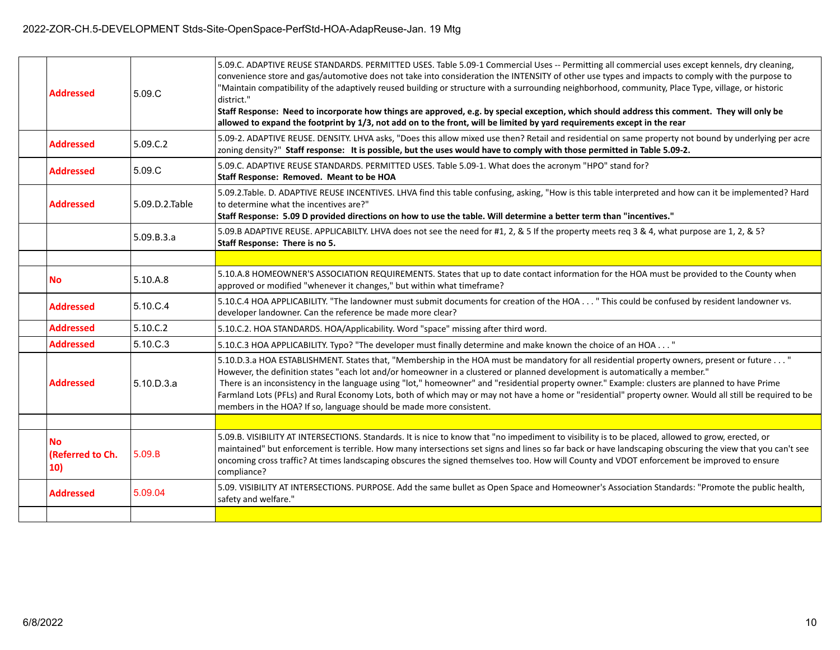| <b>Addressed</b>                     | 5.09.C         | 5.09.C. ADAPTIVE REUSE STANDARDS. PERMITTED USES. Table 5.09-1 Commercial Uses -- Permitting all commercial uses except kennels, dry cleaning,<br>convenience store and gas/automotive does not take into consideration the INTENSITY of other use types and impacts to comply with the purpose to<br>"Maintain compatibility of the adaptively reused building or structure with a surrounding neighborhood, community, Place Type, village, or historic<br>district."<br>Staff Response: Need to incorporate how things are approved, e.g. by special exception, which should address this comment. They will only be<br>allowed to expand the footprint by 1/3, not add on to the front, will be limited by yard requirements except in the rear |
|--------------------------------------|----------------|-----------------------------------------------------------------------------------------------------------------------------------------------------------------------------------------------------------------------------------------------------------------------------------------------------------------------------------------------------------------------------------------------------------------------------------------------------------------------------------------------------------------------------------------------------------------------------------------------------------------------------------------------------------------------------------------------------------------------------------------------------|
| <b>Addressed</b>                     | 5.09.C.2       | 5.09-2. ADAPTIVE REUSE. DENSITY. LHVA asks, "Does this allow mixed use then? Retail and residential on same property not bound by underlying per acre<br>zoning density?" Staff response: It is possible, but the uses would have to comply with those permitted in Table 5.09-2.                                                                                                                                                                                                                                                                                                                                                                                                                                                                   |
| <b>Addressed</b>                     | 5.09.C         | 5.09.C. ADAPTIVE REUSE STANDARDS. PERMITTED USES. Table 5.09-1. What does the acronym "HPO" stand for?<br>Staff Response: Removed. Meant to be HOA                                                                                                                                                                                                                                                                                                                                                                                                                                                                                                                                                                                                  |
| <b>Addressed</b>                     | 5.09.D.2.Table | 5.09.2.Table. D. ADAPTIVE REUSE INCENTIVES. LHVA find this table confusing, asking, "How is this table interpreted and how can it be implemented? Hard<br>to determine what the incentives are?"<br>Staff Response: 5.09 D provided directions on how to use the table. Will determine a better term than "incentives."                                                                                                                                                                                                                                                                                                                                                                                                                             |
|                                      | 5.09.B.3.a     | 5.09.B ADAPTIVE REUSE. APPLICABILTY. LHVA does not see the need for #1, 2, & 5 If the property meets req 3 & 4, what purpose are 1, 2, & 5?<br>Staff Response: There is no 5.                                                                                                                                                                                                                                                                                                                                                                                                                                                                                                                                                                       |
|                                      |                |                                                                                                                                                                                                                                                                                                                                                                                                                                                                                                                                                                                                                                                                                                                                                     |
| <b>No</b>                            | 5.10.A.8       | 5.10.A.8 HOMEOWNER'S ASSOCIATION REQUIREMENTS. States that up to date contact information for the HOA must be provided to the County when<br>approved or modified "whenever it changes," but within what timeframe?                                                                                                                                                                                                                                                                                                                                                                                                                                                                                                                                 |
| <b>Addressed</b>                     | 5.10.C.4       | 5.10.C.4 HOA APPLICABILITY. "The landowner must submit documents for creation of the HOA " This could be confused by resident landowner vs.<br>developer landowner. Can the reference be made more clear?                                                                                                                                                                                                                                                                                                                                                                                                                                                                                                                                           |
| <b>Addressed</b>                     | 5.10.C.2       | 5.10.C.2. HOA STANDARDS. HOA/Applicability. Word "space" missing after third word.                                                                                                                                                                                                                                                                                                                                                                                                                                                                                                                                                                                                                                                                  |
| <b>Addressed</b>                     | 5.10.C.3       | 5.10.C.3 HOA APPLICABILITY. Typo? "The developer must finally determine and make known the choice of an HOA "                                                                                                                                                                                                                                                                                                                                                                                                                                                                                                                                                                                                                                       |
| <b>Addressed</b>                     | 5.10.D.3.a     | 5.10.D.3.a HOA ESTABLISHMENT. States that, "Membership in the HOA must be mandatory for all residential property owners, present or future "<br>However, the definition states "each lot and/or homeowner in a clustered or planned development is automatically a member."<br>There is an inconsistency in the language using "lot," homeowner" and "residential property owner." Example: clusters are planned to have Prime<br>Farmland Lots (PFLs) and Rural Economy Lots, both of which may or may not have a home or "residential" property owner. Would all still be required to be<br>members in the HOA? If so, language should be made more consistent.                                                                                   |
|                                      |                |                                                                                                                                                                                                                                                                                                                                                                                                                                                                                                                                                                                                                                                                                                                                                     |
| <b>No</b><br>(Referred to Ch.<br>10) | 5.09.B         | 5.09.B. VISIBILITY AT INTERSECTIONS. Standards. It is nice to know that "no impediment to visibility is to be placed, allowed to grow, erected, or<br>maintained" but enforcement is terrible. How many intersections set signs and lines so far back or have landscaping obscuring the view that you can't see<br>oncoming cross traffic? At times landscaping obscures the signed themselves too. How will County and VDOT enforcement be improved to ensure<br>compliance?                                                                                                                                                                                                                                                                       |
| <b>Addressed</b>                     | 5.09.04        | 5.09. VISIBILITY AT INTERSECTIONS. PURPOSE. Add the same bullet as Open Space and Homeowner's Association Standards: "Promote the public health,<br>safety and welfare."                                                                                                                                                                                                                                                                                                                                                                                                                                                                                                                                                                            |
|                                      |                |                                                                                                                                                                                                                                                                                                                                                                                                                                                                                                                                                                                                                                                                                                                                                     |